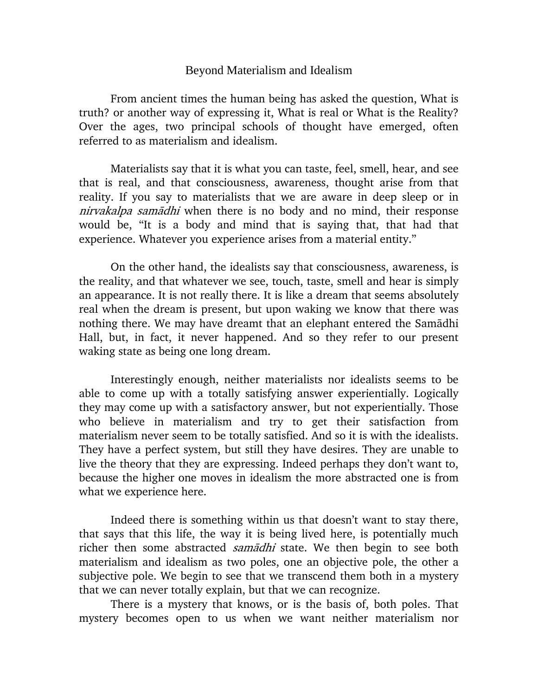## Beyond Materialism and Idealism

From ancient times the human being has asked the question, What is truth? or another way of expressing it, What is real or What is the Reality? Over the ages, two principal schools of thought have emerged, often referred to as materialism and idealism.

Materialists say that it is what you can taste, feel, smell, hear, and see that is real, and that consciousness, awareness, thought arise from that reality. If you say to materialists that we are aware in deep sleep or in nirvakalpa samadhi when there is no body and no mind, their response would be, "It is a body and mind that is saying that, that had that experience. Whatever you experience arises from a material entity."

On the other hand, the idealists say that consciousness, awareness, is the reality, and that whatever we see, touch, taste, smell and hear is simply an appearance. It is not really there. It is like a dream that seems absolutely real when the dream is present, but upon waking we know that there was nothing there. We may have dreamt that an elephant entered the Samadhi Hall, but, in fact, it never happened. And so they refer to our present waking state as being one long dream.

Interestingly enough, neither materialists nor idealists seems to be able to come up with a totally satisfying answer experientially. Logically they may come up with a satisfactory answer, but not experientially. Those who believe in materialism and try to get their satisfaction from materialism never seem to be totally satisfied. And so it is with the idealists. They have a perfect system, but still they have desires. They are unable to live the theory that they are expressing. Indeed perhaps they don't want to, because the higher one moves in idealism the more abstracted one is from what we experience here.

Indeed there is something within us that doesn't want to stay there, that says that this life, the way it is being lived here, is potentially much richer then some abstracted *samādhi* state. We then begin to see both materialism and idealism as two poles, one an objective pole, the other a subjective pole. We begin to see that we transcend them both in a mystery that we can never totally explain, but that we can recognize.

There is a mystery that knows, or is the basis of, both poles. That mystery becomes open to us when we want neither materialism nor